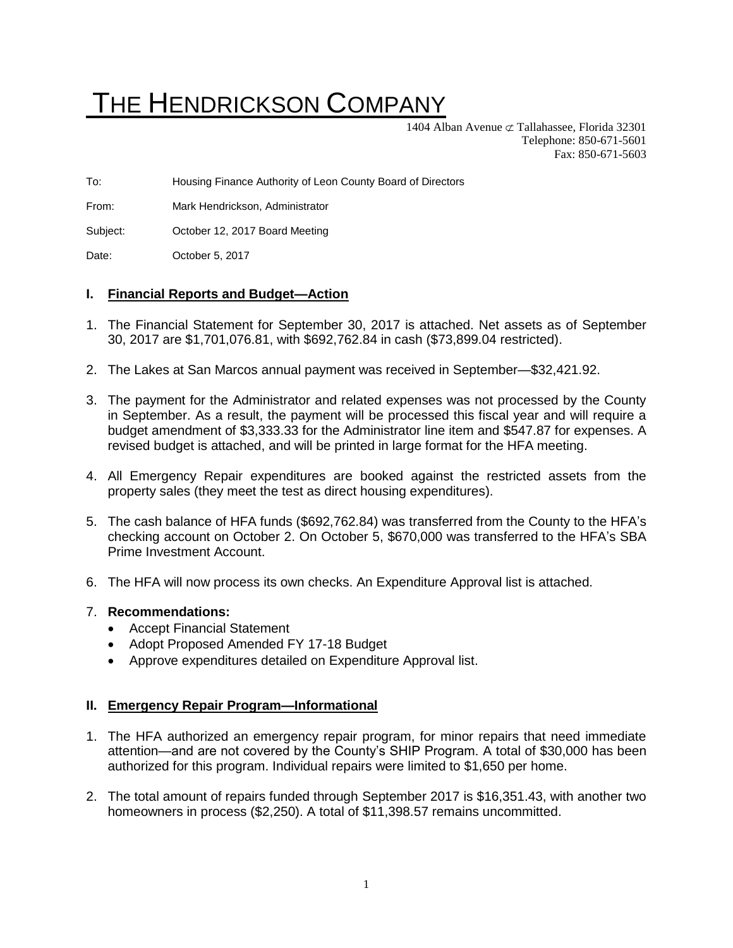# THE HENDRICKSON COMPANY

1404 Alban Avenue  $\subset \mathcal{I}$  Tallahassee, Florida 32301 Telephone: 850-671-5601 Fax: 850-671-5603

To: Housing Finance Authority of Leon County Board of Directors

From: Mark Hendrickson, Administrator

Subject: October 12, 2017 Board Meeting

Date: **October 5, 2017** 

#### **I. Financial Reports and Budget—Action**

- 1. The Financial Statement for September 30, 2017 is attached. Net assets as of September 30, 2017 are \$1,701,076.81, with \$692,762.84 in cash (\$73,899.04 restricted).
- 2. The Lakes at San Marcos annual payment was received in September—\$32,421.92.
- 3. The payment for the Administrator and related expenses was not processed by the County in September. As a result, the payment will be processed this fiscal year and will require a budget amendment of \$3,333.33 for the Administrator line item and \$547.87 for expenses. A revised budget is attached, and will be printed in large format for the HFA meeting.
- 4. All Emergency Repair expenditures are booked against the restricted assets from the property sales (they meet the test as direct housing expenditures).
- 5. The cash balance of HFA funds (\$692,762.84) was transferred from the County to the HFA's checking account on October 2. On October 5, \$670,000 was transferred to the HFA's SBA Prime Investment Account.
- 6. The HFA will now process its own checks. An Expenditure Approval list is attached.

#### 7. **Recommendations:**

- Accept Financial Statement
- Adopt Proposed Amended FY 17-18 Budget
- Approve expenditures detailed on Expenditure Approval list.

#### **II. Emergency Repair Program—Informational**

- 1. The HFA authorized an emergency repair program, for minor repairs that need immediate attention—and are not covered by the County's SHIP Program. A total of \$30,000 has been authorized for this program. Individual repairs were limited to \$1,650 per home.
- 2. The total amount of repairs funded through September 2017 is \$16,351.43, with another two homeowners in process (\$2,250). A total of \$11,398.57 remains uncommitted.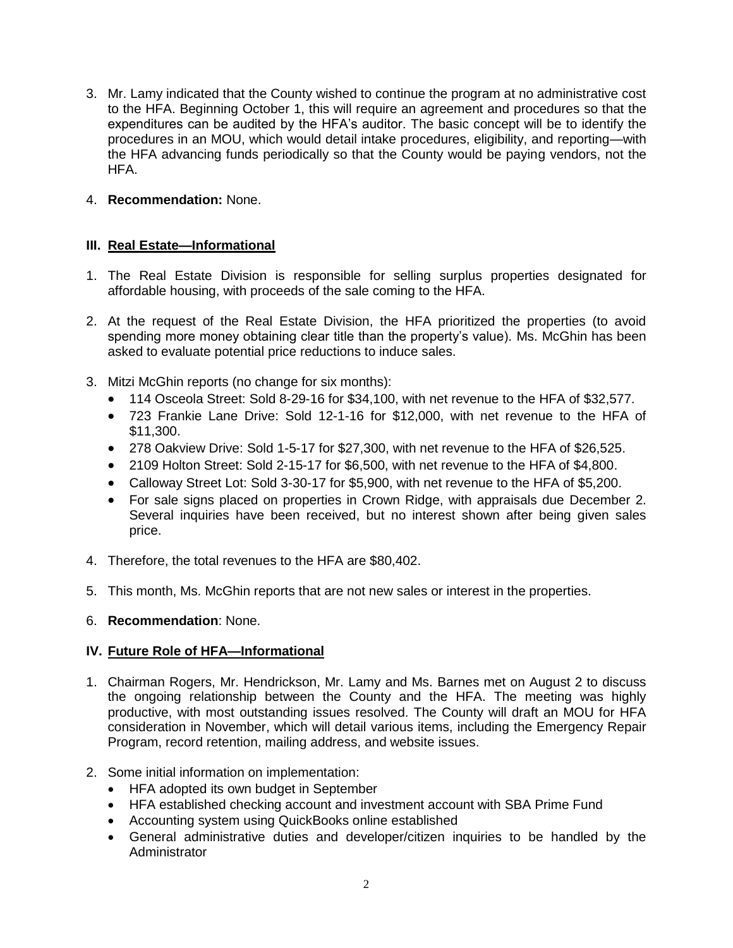3. Mr. Lamy indicated that the County wished to continue the program at no administrative cost to the HFA. Beginning October 1, this will require an agreement and procedures so that the expenditures can be audited by the HFA's auditor. The basic concept will be to identify the procedures in an MOU, which would detail intake procedures, eligibility, and reporting—with the HFA advancing funds periodically so that the County would be paying vendors, not the HFA.

## 4. **Recommendation:** None.

## **III. Real Estate—Informational**

- 1. The Real Estate Division is responsible for selling surplus properties designated for affordable housing, with proceeds of the sale coming to the HFA.
- 2. At the request of the Real Estate Division, the HFA prioritized the properties (to avoid spending more money obtaining clear title than the property's value). Ms. McGhin has been asked to evaluate potential price reductions to induce sales.
- 3. Mitzi McGhin reports (no change for six months):
	- 114 Osceola Street: Sold 8-29-16 for \$34,100, with net revenue to the HFA of \$32,577.
	- 723 Frankie Lane Drive: Sold 12-1-16 for \$12,000, with net revenue to the HFA of \$11,300.
	- 278 Oakview Drive: Sold 1-5-17 for \$27,300, with net revenue to the HFA of \$26,525.
	- 2109 Holton Street: Sold 2-15-17 for \$6,500, with net revenue to the HFA of \$4,800.
	- Calloway Street Lot: Sold 3-30-17 for \$5,900, with net revenue to the HFA of \$5,200.
	- For sale signs placed on properties in Crown Ridge, with appraisals due December 2. Several inquiries have been received, but no interest shown after being given sales price.
- 4. Therefore, the total revenues to the HFA are \$80,402.
- 5. This month, Ms. McGhin reports that are not new sales or interest in the properties.

#### 6. **Recommendation**: None.

#### **IV. Future Role of HFA—Informational**

- 1. Chairman Rogers, Mr. Hendrickson, Mr. Lamy and Ms. Barnes met on August 2 to discuss the ongoing relationship between the County and the HFA. The meeting was highly productive, with most outstanding issues resolved. The County will draft an MOU for HFA consideration in November, which will detail various items, including the Emergency Repair Program, record retention, mailing address, and website issues.
- 2. Some initial information on implementation:
	- HFA adopted its own budget in September
	- HFA established checking account and investment account with SBA Prime Fund
	- Accounting system using QuickBooks online established
	- General administrative duties and developer/citizen inquiries to be handled by the Administrator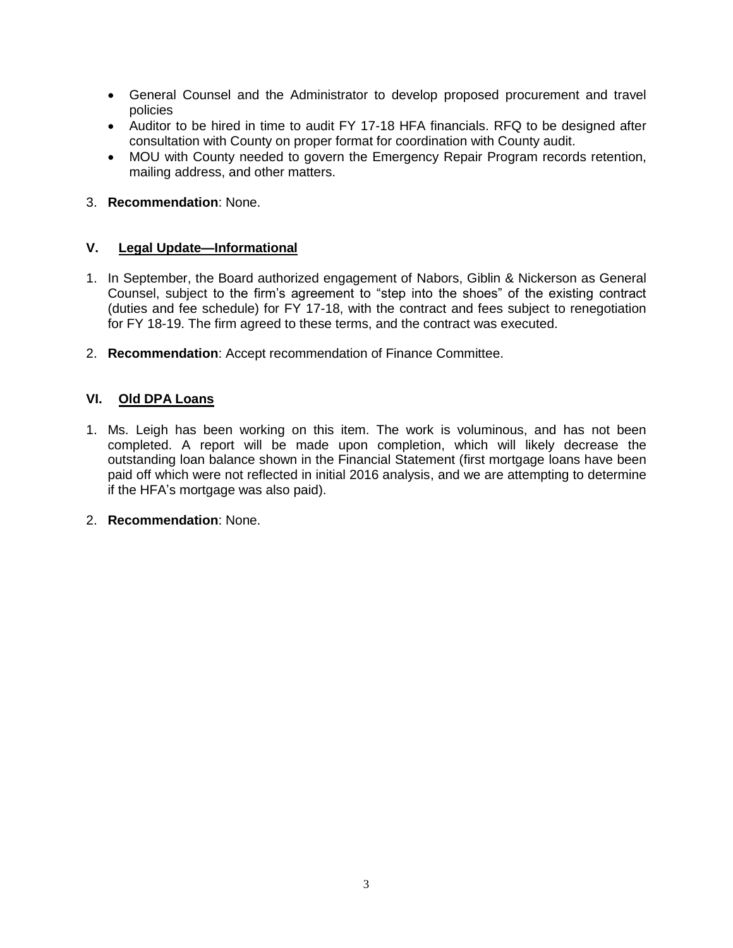- General Counsel and the Administrator to develop proposed procurement and travel policies
- Auditor to be hired in time to audit FY 17-18 HFA financials. RFQ to be designed after consultation with County on proper format for coordination with County audit.
- MOU with County needed to govern the Emergency Repair Program records retention, mailing address, and other matters.
- 3. **Recommendation**: None.

## **V. Legal Update—Informational**

- 1. In September, the Board authorized engagement of Nabors, Giblin & Nickerson as General Counsel, subject to the firm's agreement to "step into the shoes" of the existing contract (duties and fee schedule) for FY 17-18, with the contract and fees subject to renegotiation for FY 18-19. The firm agreed to these terms, and the contract was executed.
- 2. **Recommendation**: Accept recommendation of Finance Committee.

# **VI. Old DPA Loans**

- 1. Ms. Leigh has been working on this item. The work is voluminous, and has not been completed. A report will be made upon completion, which will likely decrease the outstanding loan balance shown in the Financial Statement (first mortgage loans have been paid off which were not reflected in initial 2016 analysis, and we are attempting to determine if the HFA's mortgage was also paid).
- 2. **Recommendation**: None.